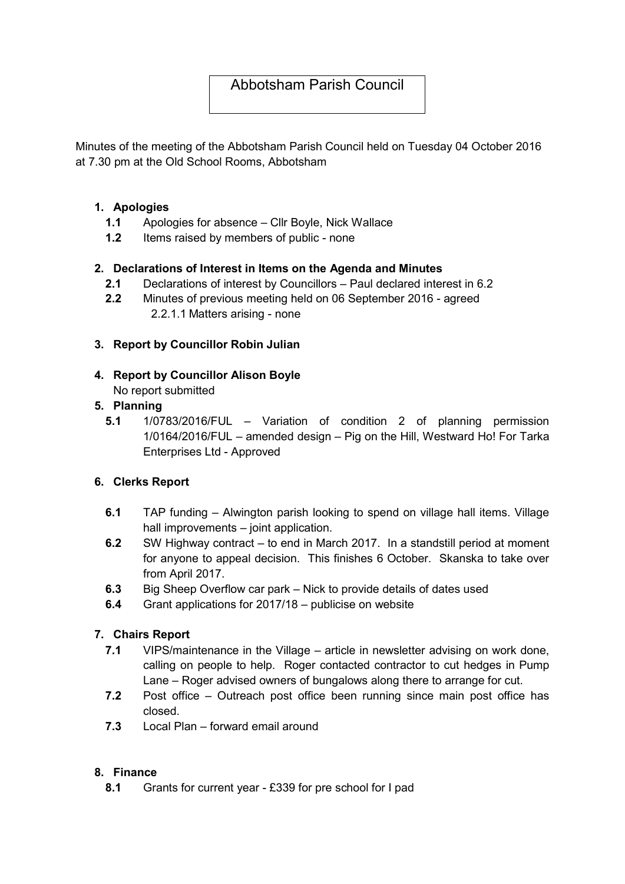# Abbotsham Parish Council

Minutes of the meeting of the Abbotsham Parish Council held on Tuesday 04 October 2016 at 7.30 pm at the Old School Rooms, Abbotsham

## 1. Apologies

- 1.1 Apologies for absence Cllr Boyle, Nick Wallace
- 1.2 Items raised by members of public none

## 2. Declarations of Interest in Items on the Agenda and Minutes

- 2.1 Declarations of interest by Councillors Paul declared interest in 6.2
- 2.2 Minutes of previous meeting held on 06 September 2016 agreed 2.2.1.1 Matters arising - none

## 3. Report by Councillor Robin Julian

4. Report by Councillor Alison Boyle No report submitted

## 5. Planning

5.1 1/0783/2016/FUL – Variation of condition 2 of planning permission 1/0164/2016/FUL – amended design – Pig on the Hill, Westward Ho! For Tarka Enterprises Ltd - Approved

# 6. Clerks Report

- 6.1 TAP funding Alwington parish looking to spend on village hall items. Village hall improvements – joint application.
- 6.2 SW Highway contract to end in March 2017. In a standstill period at moment for anyone to appeal decision. This finishes 6 October. Skanska to take over from April 2017.
- 6.3 Big Sheep Overflow car park Nick to provide details of dates used
- 6.4 Grant applications for 2017/18 publicise on website

# 7. Chairs Report

- 7.1 VIPS/maintenance in the Village article in newsletter advising on work done, calling on people to help. Roger contacted contractor to cut hedges in Pump Lane – Roger advised owners of bungalows along there to arrange for cut.
- 7.2 Post office Outreach post office been running since main post office has closed.
- 7.3 Local Plan forward email around

#### 8. Finance

8.1 Grants for current year - £339 for pre school for I pad